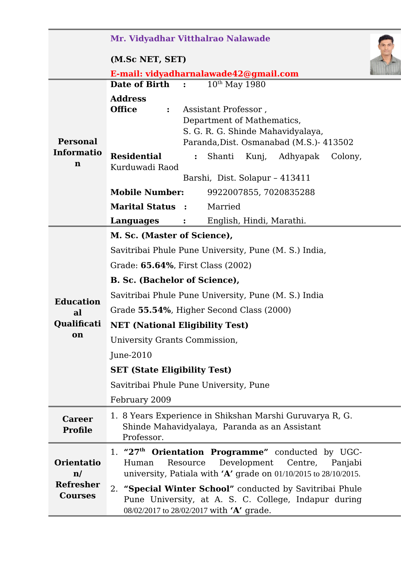|                                                                          | Mr. Vidyadhar Vitthalrao Nalawade                                                                                                                                                            |                |                                                    |  |                                                                             |         |  |
|--------------------------------------------------------------------------|----------------------------------------------------------------------------------------------------------------------------------------------------------------------------------------------|----------------|----------------------------------------------------|--|-----------------------------------------------------------------------------|---------|--|
|                                                                          | (M.Sc NET, SET)                                                                                                                                                                              |                |                                                    |  |                                                                             |         |  |
|                                                                          | E-mail: vidyadharnalawade42@gmail.com                                                                                                                                                        |                |                                                    |  |                                                                             |         |  |
|                                                                          | Date of Birth                                                                                                                                                                                | $\ddot{\cdot}$ | $10^{th}$ May 1980                                 |  |                                                                             |         |  |
| <b>Personal</b><br><b>Informatio</b><br>$\mathbf n$                      | <b>Address</b><br><b>Office</b><br>$\ddot{\cdot}$                                                                                                                                            |                | Assistant Professor,<br>Department of Mathematics, |  | S. G. R. G. Shinde Mahavidyalaya,<br>Paranda, Dist. Osmanabad (M.S.)-413502 |         |  |
|                                                                          | <b>Residential</b>                                                                                                                                                                           | $\ddot{\cdot}$ | Shanti                                             |  | Kunj, Adhyapak                                                              | Colony, |  |
|                                                                          | Kurduwadi Raod                                                                                                                                                                               |                |                                                    |  |                                                                             |         |  |
|                                                                          |                                                                                                                                                                                              |                | Barshi, Dist. Solapur - 413411                     |  |                                                                             |         |  |
|                                                                          | <b>Mobile Number:</b>                                                                                                                                                                        |                |                                                    |  | 9922007855, 7020835288                                                      |         |  |
|                                                                          | <b>Marital Status :</b>                                                                                                                                                                      |                | Married                                            |  |                                                                             |         |  |
|                                                                          | Languages                                                                                                                                                                                    |                | English, Hindi, Marathi.                           |  |                                                                             |         |  |
| <b>Education</b><br>al<br>Qualificati<br>on                              | M. Sc. (Master of Science),                                                                                                                                                                  |                |                                                    |  |                                                                             |         |  |
|                                                                          | Savitribai Phule Pune University, Pune (M. S.) India,                                                                                                                                        |                |                                                    |  |                                                                             |         |  |
|                                                                          | Grade: 65.64%, First Class (2002)                                                                                                                                                            |                |                                                    |  |                                                                             |         |  |
|                                                                          | B. Sc. (Bachelor of Science),                                                                                                                                                                |                |                                                    |  |                                                                             |         |  |
|                                                                          | Savitribai Phule Pune University, Pune (M. S.) India                                                                                                                                         |                |                                                    |  |                                                                             |         |  |
|                                                                          | Grade 55.54%, Higher Second Class (2000)                                                                                                                                                     |                |                                                    |  |                                                                             |         |  |
|                                                                          | <b>NET (National Eligibility Test)</b>                                                                                                                                                       |                |                                                    |  |                                                                             |         |  |
|                                                                          | University Grants Commission,                                                                                                                                                                |                |                                                    |  |                                                                             |         |  |
|                                                                          | June-2010                                                                                                                                                                                    |                |                                                    |  |                                                                             |         |  |
|                                                                          | <b>SET (State Eligibility Test)</b>                                                                                                                                                          |                |                                                    |  |                                                                             |         |  |
|                                                                          | Savitribai Phule Pune University, Pune                                                                                                                                                       |                |                                                    |  |                                                                             |         |  |
|                                                                          | February 2009                                                                                                                                                                                |                |                                                    |  |                                                                             |         |  |
| <b>Career</b><br><b>Profile</b>                                          | 1. 8 Years Experience in Shikshan Marshi Guruvarya R, G.<br>Shinde Mahavidyalaya, Paranda as an Assistant<br>Professor.                                                                      |                |                                                    |  |                                                                             |         |  |
| <b>Orientatio</b><br>$\mathbf{n}/$<br><b>Refresher</b><br><b>Courses</b> | 1. "27 <sup>th</sup> Orientation Programme" conducted by UGC-<br>Development<br>Resource<br>Centre,<br>Human<br>Panjabi<br>university, Patiala with $'A'$ grade on 01/10/2015 to 28/10/2015. |                |                                                    |  |                                                                             |         |  |
|                                                                          | 2. "Special Winter School" conducted by Savitribai Phule<br>Pune University, at A. S. C. College, Indapur during<br>08/02/2017 to 28/02/2017 with 'A' grade.                                 |                |                                                    |  |                                                                             |         |  |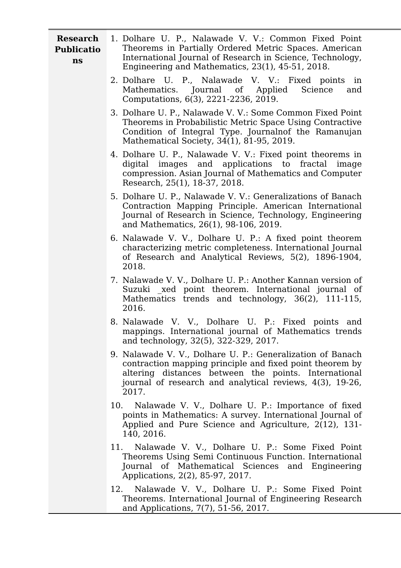| <b>Research</b><br><b>Publicatio</b><br>ns | 1. Dolhare U. P., Nalawade V. V.: Common Fixed Point<br>Theorems in Partially Ordered Metric Spaces. American<br>International Journal of Research in Science, Technology,<br>Engineering and Mathematics, 23(1), 45-51, 2018.                      |  |  |  |  |
|--------------------------------------------|-----------------------------------------------------------------------------------------------------------------------------------------------------------------------------------------------------------------------------------------------------|--|--|--|--|
|                                            | 2. Dolhare U. P., Nalawade V. V.: Fixed points in<br>Mathematics. Journal of Applied<br>Science<br>and<br>Computations, 6(3), 2221-2236, 2019.                                                                                                      |  |  |  |  |
|                                            | 3. Dolhare U. P., Nalawade V. V.: Some Common Fixed Point<br>Theorems in Probabilistic Metric Space Using Contractive<br>Condition of Integral Type. Journalnof the Ramanujan<br>Mathematical Society, 34(1), 81-95, 2019.                          |  |  |  |  |
|                                            | 4. Dolhare U. P., Nalawade V. V.: Fixed point theorems in<br>digital images and applications to fractal image<br>compression. Asian Journal of Mathematics and Computer<br>Research, 25(1), 18-37, 2018.                                            |  |  |  |  |
|                                            | 5. Dolhare U. P., Nalawade V. V.: Generalizations of Banach<br>Contraction Mapping Principle. American International<br>Journal of Research in Science, Technology, Engineering<br>and Mathematics, 26(1), 98-106, 2019.                            |  |  |  |  |
|                                            | 6. Nalawade V. V., Dolhare U. P.: A fixed point theorem<br>characterizing metric completeness. International Journal<br>of Research and Analytical Reviews, 5(2), 1896-1904,<br>2018.                                                               |  |  |  |  |
|                                            | 7. Nalawade V. V., Dolhare U. P.: Another Kannan version of<br>Suzuki xed point theorem. International journal of<br>Mathematics trends and technology, 36(2), 111-115,<br>2016.                                                                    |  |  |  |  |
|                                            | 8. Nalawade V. V., Dolhare U. P.: Fixed points and<br>mappings. International journal of Mathematics trends<br>and technology, 32(5), 322-329, 2017.                                                                                                |  |  |  |  |
|                                            | 9. Nalawade V. V., Dolhare U. P.: Generalization of Banach<br>contraction mapping principle and fixed point theorem by<br>altering distances between the points. International<br>journal of research and analytical reviews, 4(3), 19-26,<br>2017. |  |  |  |  |
|                                            | 10. Nalawade V. V., Dolhare U. P.: Importance of fixed<br>points in Mathematics: A survey. International Journal of<br>Applied and Pure Science and Agriculture, 2(12), 131-<br>140, 2016.                                                          |  |  |  |  |
|                                            | Nalawade V. V., Dolhare U. P.: Some Fixed Point<br>11.<br>Theorems Using Semi Continuous Function. International<br>Journal of Mathematical Sciences and Engineering<br>Applications, 2(2), 85-97, 2017.                                            |  |  |  |  |
|                                            | Nalawade V. V., Dolhare U. P.: Some Fixed Point<br>12.<br>Theorems. International Journal of Engineering Research<br>and Applications, 7(7), 51-56, 2017.                                                                                           |  |  |  |  |